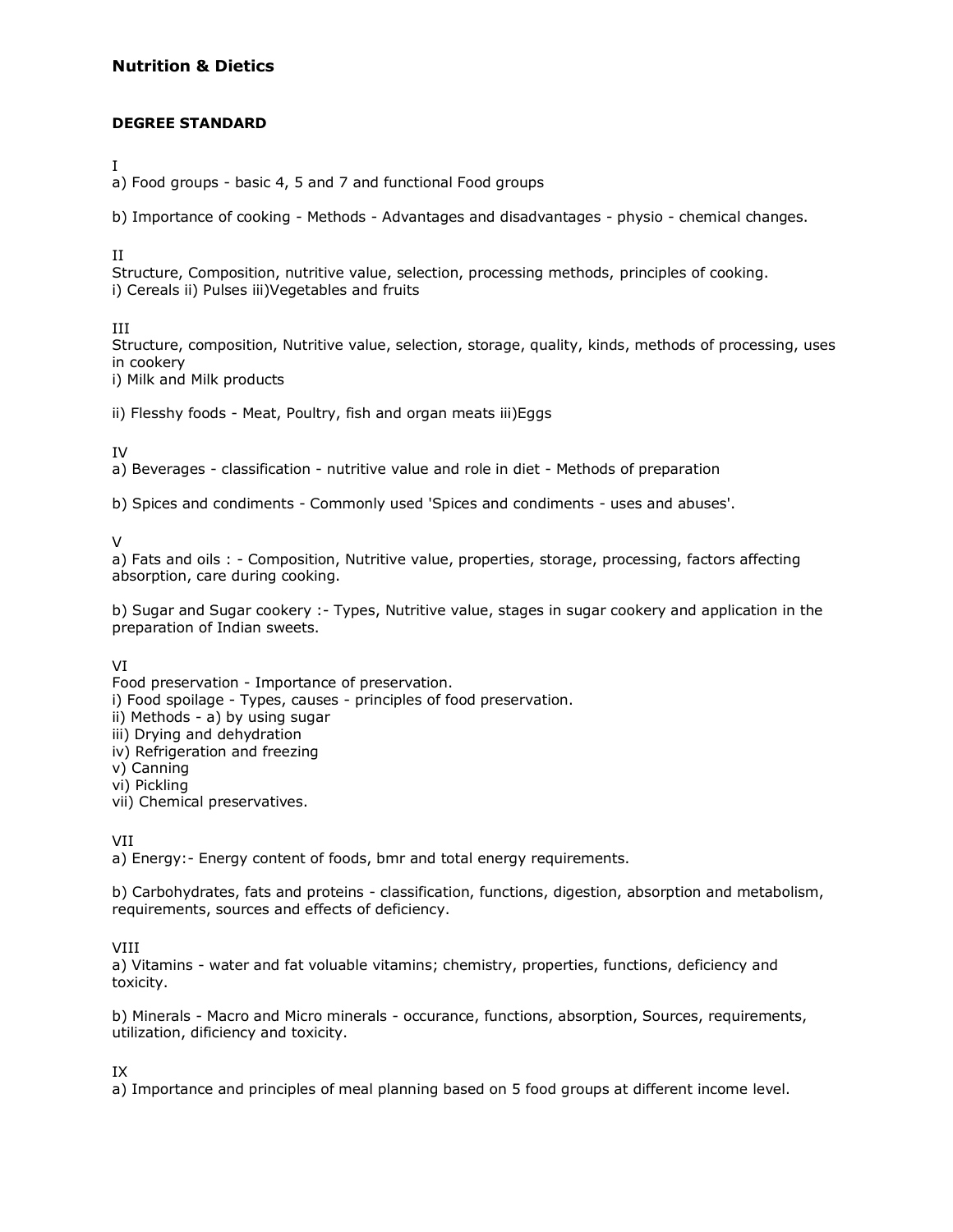## **Nutrition & Dietics**

## **DEGREE STANDARD**

I

a) Food groups - basic 4, 5 and 7 and functional Food groups

b) Importance of cooking - Methods - Advantages and disadvantages - physio - chemical changes.

II

Structure, Composition, nutritive value, selection, processing methods, principles of cooking. i) Cereals ii) Pulses iii)Vegetables and fruits

III

Structure, composition, Nutritive value, selection, storage, quality, kinds, methods of processing, uses in cookery

i) Milk and Milk products

ii) Flesshy foods - Meat, Poultry, fish and organ meats iii)Eggs

IV

a) Beverages - classification - nutritive value and role in diet - Methods of preparation

b) Spices and condiments - Commonly used 'Spices and condiments - uses and abuses'.

V

a) Fats and oils : - Composition, Nutritive value, properties, storage, processing, factors affecting absorption, care during cooking.

b) Sugar and Sugar cookery :- Types, Nutritive value, stages in sugar cookery and application in the preparation of Indian sweets.

VI

Food preservation - Importance of preservation. i) Food spoilage - Types, causes - principles of food preservation. ii) Methods - a) by using sugar iii) Drying and dehydration iv) Refrigeration and freezing v) Canning vi) Pickling vii) Chemical preservatives.

VII

a) Energy:- Energy content of foods, bmr and total energy requirements.

b) Carbohydrates, fats and proteins - classification, functions, digestion, absorption and metabolism, requirements, sources and effects of deficiency.

VIII

a) Vitamins - water and fat voluable vitamins; chemistry, properties, functions, deficiency and toxicity.

b) Minerals - Macro and Micro minerals - occurance, functions, absorption, Sources, requirements, utilization, dificiency and toxicity.

IX

a) Importance and principles of meal planning based on 5 food groups at different income level.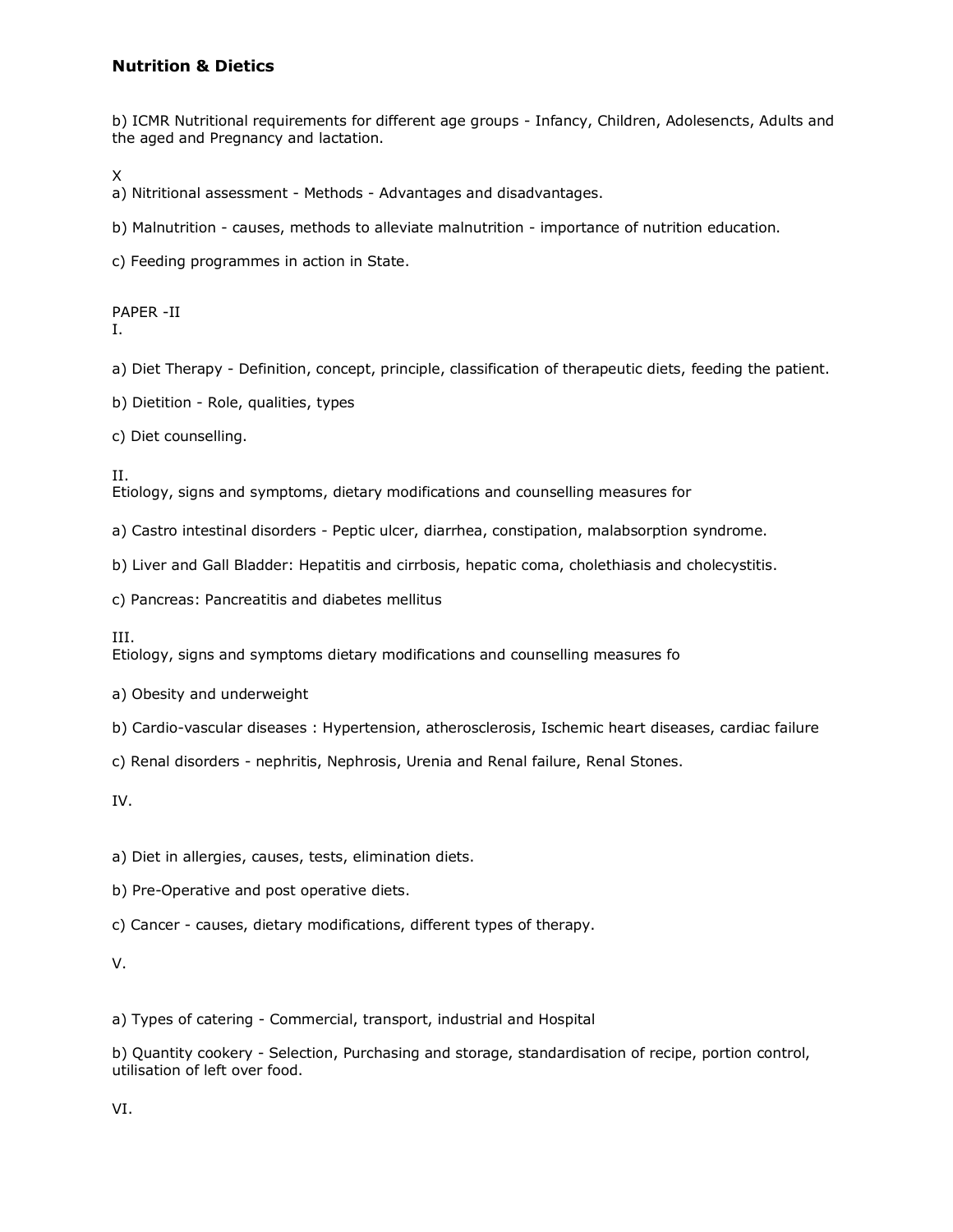## **Nutrition & Dietics**

b) ICMR Nutritional requirements for different age groups - Infancy, Children, Adolesencts, Adults and the aged and Pregnancy and lactation.

X

a) Nitritional assessment - Methods - Advantages and disadvantages.

b) Malnutrition - causes, methods to alleviate malnutrition - importance of nutrition education.

c) Feeding programmes in action in State.

PAPER -II

I.

a) Diet Therapy - Definition, concept, principle, classification of therapeutic diets, feeding the patient.

b) Dietition - Role, qualities, types

c) Diet counselling.

II. Etiology, signs and symptoms, dietary modifications and counselling measures for

a) Castro intestinal disorders - Peptic ulcer, diarrhea, constipation, malabsorption syndrome.

b) Liver and Gall Bladder: Hepatitis and cirrbosis, hepatic coma, cholethiasis and cholecystitis.

c) Pancreas: Pancreatitis and diabetes mellitus

III.

Etiology, signs and symptoms dietary modifications and counselling measures fo

a) Obesity and underweight

b) Cardio-vascular diseases : Hypertension, atherosclerosis, Ischemic heart diseases, cardiac failure

c) Renal disorders - nephritis, Nephrosis, Urenia and Renal failure, Renal Stones.

IV.

a) Diet in allergies, causes, tests, elimination diets.

b) Pre-Operative and post operative diets.

c) Cancer - causes, dietary modifications, different types of therapy.

V.

a) Types of catering - Commercial, transport, industrial and Hospital

b) Quantity cookery - Selection, Purchasing and storage, standardisation of recipe, portion control, utilisation of left over food.

VI.